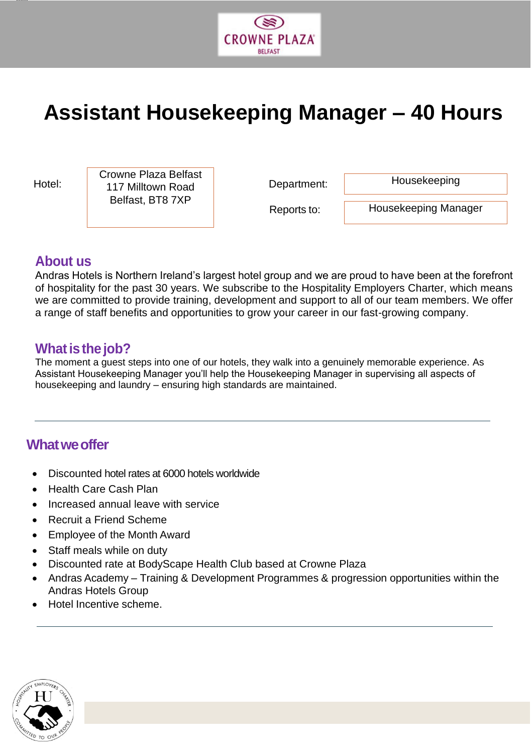

# **Assistant Housekeeping Manager – 40 Hours**

jjjjjj

Hotel: 117 Milltown Road **Department:** Crowne Plaza Belfast<br>
117 Milltown Road<br>
Department: Housekeeping Belfast, BT8 7XP

Reports to:

Housekeeping Manager

## **About us**

Andras Hotels is Northern Ireland's largest hotel group and we are proud to have been at the forefront of hospitality for the past 30 years. We subscribe to the Hospitality Employers Charter, which means we are committed to provide training, development and support to all of our team members. We offer a range of staff benefits and opportunities to grow your career in our fast-growing company.

## **What is the job?**

The moment a guest steps into one of our hotels, they walk into a genuinely memorable experience. As Assistant Housekeeping Manager you'll help the Housekeeping Manager in supervising all aspects of housekeeping and laundry – ensuring high standards are maintained.

## **Whatweoffer**

- Discounted hotel rates at 6000 hotels worldwide
- Health Care Cash Plan
- Increased annual leave with service
- Recruit a Friend Scheme
- Employee of the Month Award
- Staff meals while on duty
- Discounted rate at BodyScape Health Club based at Crowne Plaza
- Andras Academy Training & Development Programmes & progression opportunities within the Andras Hotels Group
- Hotel Incentive scheme.

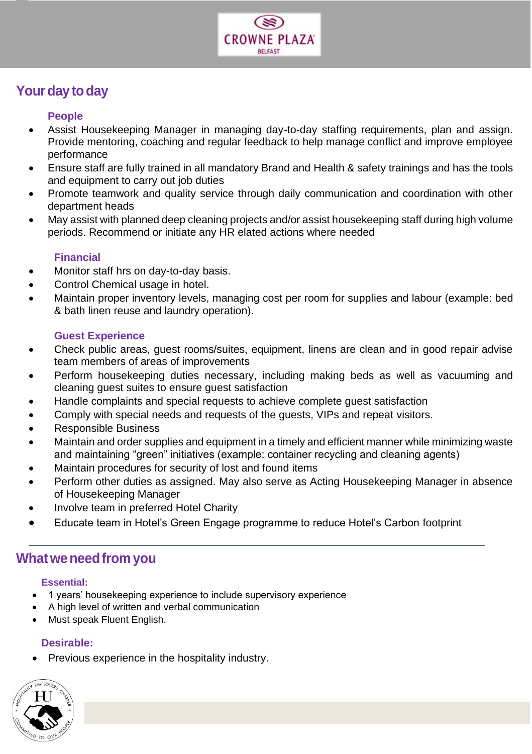

# Your day to day

jjjjjj

#### **People**

- Assist Housekeeping Manager in managing day-to-day staffing requirements, plan and assign. Provide mentoring, coaching and regular feedback to help manage conflict and improve employee performance
- Ensure staff are fully trained in all mandatory Brand and Health & safety trainings and has the tools and equipment to carry out job duties
- Promote teamwork and quality service through daily communication and coordination with other department heads
- May assist with planned deep cleaning projects and/or assist housekeeping staff during high volume periods. Recommend or initiate any HR elated actions where needed

#### **Financial**

- Monitor staff hrs on day-to-day basis.
- Control Chemical usage in hotel.
- Maintain proper inventory levels, managing cost per room for supplies and labour (example: bed & bath linen reuse and laundry operation).

#### **Guest Experience**

- Check public areas, guest rooms/suites, equipment, linens are clean and in good repair advise team members of areas of improvements
- Perform housekeeping duties necessary, including making beds as well as vacuuming and cleaning guest suites to ensure guest satisfaction
- Handle complaints and special requests to achieve complete guest satisfaction
- Comply with special needs and requests of the guests, VIPs and repeat visitors.
- Responsible Business
- Maintain and order supplies and equipment in a timely and efficient manner while minimizing waste and maintaining "green" initiatives (example: container recycling and cleaning agents)
- Maintain procedures for security of lost and found items
- Perform other duties as assigned. May also serve as Acting Housekeeping Manager in absence of Housekeeping Manager
- Involve team in preferred Hotel Charity
- Educate team in Hotel's Green Engage programme to reduce Hotel's Carbon footprint

## **Whatweneedfrom you**

#### **Essential:**

- 1 years' housekeeping experience to include supervisory experience
- A high level of written and verbal communication
- Must speak Fluent English.

## **Desirable:**

• Previous experience in the hospitality industry.